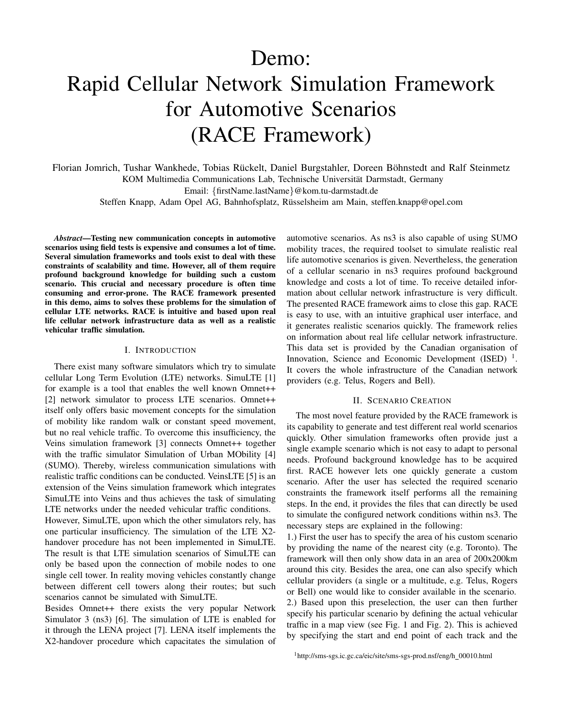# Demo:

# Rapid Cellular Network Simulation Framework for Automotive Scenarios (RACE Framework)

Florian Jomrich, Tushar Wankhede, Tobias Rückelt, Daniel Burgstahler, Doreen Böhnstedt and Ralf Steinmetz KOM Multimedia Communications Lab, Technische Universität Darmstadt, Germany Email: {firstName.lastName}@kom.tu-darmstadt.de

Steffen Knapp, Adam Opel AG, Bahnhofsplatz, Russelsheim am Main, steffen.knapp@opel.com ¨

*Abstract*—Testing new communication concepts in automotive scenarios using field tests is expensive and consumes a lot of time. Several simulation frameworks and tools exist to deal with these constraints of scalability and time. However, all of them require profound background knowledge for building such a custom scenario. This crucial and necessary procedure is often time consuming and error-prone. The RACE framework presented in this demo, aims to solves these problems for the simulation of cellular LTE networks. RACE is intuitive and based upon real life cellular network infrastructure data as well as a realistic vehicular traffic simulation.

#### I. INTRODUCTION

There exist many software simulators which try to simulate cellular Long Term Evolution (LTE) networks. SimuLTE [1] for example is a tool that enables the well known Omnet++ [2] network simulator to process LTE scenarios. Omnet++ itself only offers basic movement concepts for the simulation of mobility like random walk or constant speed movement, but no real vehicle traffic. To overcome this insufficiency, the Veins simulation framework [3] connects Omnet++ together with the traffic simulator Simulation of Urban MObility [4] (SUMO). Thereby, wireless communication simulations with realistic traffic conditions can be conducted. VeinsLTE [5] is an extension of the Veins simulation framework which integrates SimuLTE into Veins and thus achieves the task of simulating LTE networks under the needed vehicular traffic conditions. However, SimuLTE, upon which the other simulators rely, has one particular insufficiency. The simulation of the LTE X2 handover procedure has not been implemented in SimuLTE. The result is that LTE simulation scenarios of SimuLTE can only be based upon the connection of mobile nodes to one single cell tower. In reality moving vehicles constantly change between different cell towers along their routes; but such

scenarios cannot be simulated with SimuLTE. Besides Omnet++ there exists the very popular Network Simulator 3 (ns3) [6]. The simulation of LTE is enabled for it through the LENA project [7]. LENA itself implements the X2-handover procedure which capacitates the simulation of automotive scenarios. As ns3 is also capable of using SUMO mobility traces, the required toolset to simulate realistic real life automotive scenarios is given. Nevertheless, the generation of a cellular scenario in ns3 requires profound background knowledge and costs a lot of time. To receive detailed information about cellular network infrastructure is very difficult. The presented RACE framework aims to close this gap. RACE is easy to use, with an intuitive graphical user interface, and it generates realistic scenarios quickly. The framework relies on information about real life cellular network infrastructure. This data set is provided by the Canadian organisation of Innovation, Science and Economic Development (ISED)  $^1$ . It covers the whole infrastructure of the Canadian network providers (e.g. Telus, Rogers and Bell).

## II. SCENARIO CREATION

The most novel feature provided by the RACE framework is its capability to generate and test different real world scenarios quickly. Other simulation frameworks often provide just a single example scenario which is not easy to adapt to personal needs. Profound background knowledge has to be acquired first. RACE however lets one quickly generate a custom scenario. After the user has selected the required scenario constraints the framework itself performs all the remaining steps. In the end, it provides the files that can directly be used to simulate the configured network conditions within ns3. The necessary steps are explained in the following:

1.) First the user has to specify the area of his custom scenario by providing the name of the nearest city (e.g. Toronto). The framework will then only show data in an area of 200x200km around this city. Besides the area, one can also specify which cellular providers (a single or a multitude, e.g. Telus, Rogers or Bell) one would like to consider available in the scenario. 2.) Based upon this preselection, the user can then further specify his particular scenario by defining the actual vehicular traffic in a map view (see Fig. 1 and Fig. 2). This is achieved by specifying the start and end point of each track and the

<sup>1</sup>http://sms-sgs.ic.gc.ca/eic/site/sms-sgs-prod.nsf/eng/h\_00010.html